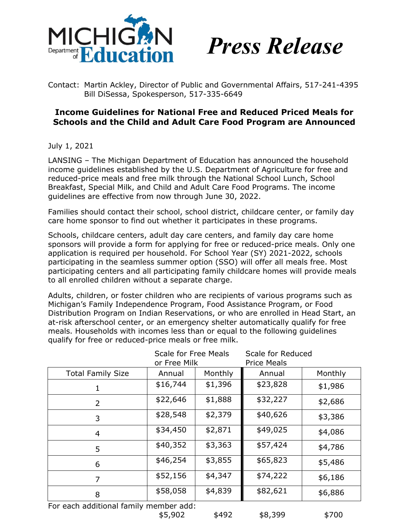



Contact: Martin Ackley, Director of Public and Governmental Affairs, 517-241-4395 Bill DiSessa, Spokesperson, 517-335-6649

## **Income Guidelines for National Free and Reduced Priced Meals for Schools and the Child and Adult Care Food Program are Announced**

July 1, 2021

LANSING – The Michigan Department of Education has announced the household income guidelines established by the U.S. Department of Agriculture for free and reduced-price meals and free milk through the National School Lunch, School Breakfast, Special Milk, and Child and Adult Care Food Programs. The income guidelines are effective from now through June 30, 2022.

Families should contact their school, school district, childcare center, or family day care home sponsor to find out whether it participates in these programs.

Schools, childcare centers, adult day care centers, and family day care home sponsors will provide a form for applying for free or reduced-price meals. Only one application is required per household. For School Year (SY) 2021-2022, schools participating in the seamless summer option (SSO) will offer all meals free. Most participating centers and all participating family childcare homes will provide meals to all enrolled children without a separate charge.

Adults, children, or foster children who are recipients of various programs such as Michigan's Family Independence Program, Food Assistance Program, or Food Distribution Program on Indian Reservations, or who are enrolled in Head Start, an at-risk afterschool center, or an emergency shelter automatically qualify for free meals. Households with incomes less than or equal to the following guidelines qualify for free or reduced-price meals or free milk.

|                                        | <b>Scale for Free Meals</b><br>or Free Milk |         | Scale for Reduced<br><b>Price Meals</b> |         |
|----------------------------------------|---------------------------------------------|---------|-----------------------------------------|---------|
| <b>Total Family Size</b>               | Annual                                      | Monthly | Annual                                  | Monthly |
|                                        | \$16,744                                    | \$1,396 | \$23,828                                | \$1,986 |
| 2                                      | \$22,646                                    | \$1,888 | \$32,227                                | \$2,686 |
| 3                                      | \$28,548                                    | \$2,379 | \$40,626                                | \$3,386 |
| 4                                      | \$34,450                                    | \$2,871 | \$49,025                                | \$4,086 |
| 5                                      | \$40,352                                    | \$3,363 | \$57,424                                | \$4,786 |
| 6                                      | \$46,254                                    | \$3,855 | \$65,823                                | \$5,486 |
| 7                                      | \$52,156                                    | \$4,347 | \$74,222                                | \$6,186 |
| 8                                      | \$58,058                                    | \$4,839 | \$82,621                                | \$6,886 |
| Ear asch additional family momber add: |                                             |         |                                         |         |

For each additional family member add:

\$5,902 \$492 \$8,399 \$700